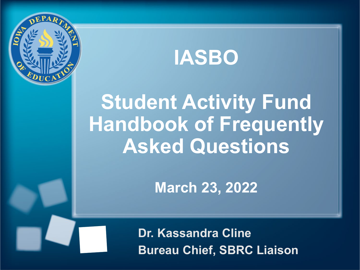

**IASBO**

# **Student Activity Fund Handbook of Frequently Asked Questions**

**March 23, 2022**

Inci, ODING ERRORIT **Dr. Kassandra Cline Bureau Chief, SBRC Liaison**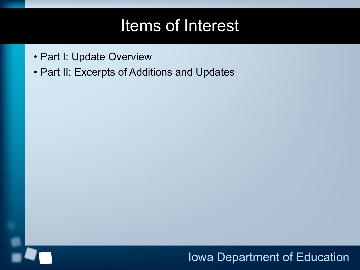### Items of Interest

- Part I: Update Overview
- Part II: Excerpts of Additions and Updates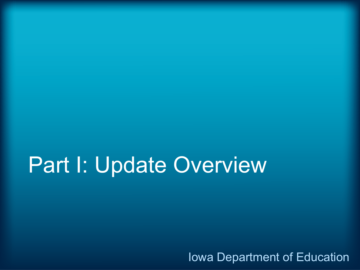# Part I: Update Overview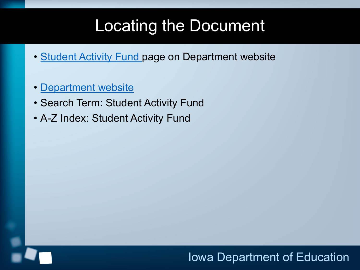# Locating the Document

- [Student Activity Fund](https://educateiowa.gov/pk-12/school-business-finance/levies-funds/student-activity-fund) page on Department website
- [Department website](https://educateiowa.gov/)
- Search Term: Student Activity Fund
- A-Z Index: Student Activity Fund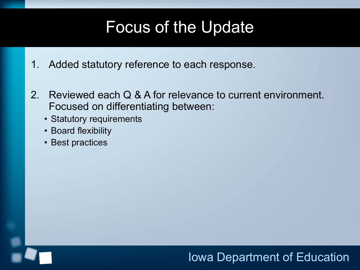### Focus of the Update

- 1. Added statutory reference to each response.
- 2. Reviewed each Q & A for relevance to current environment. Focused on differentiating between:
	- Statutory requirements
	- Board flexibility
	- Best practices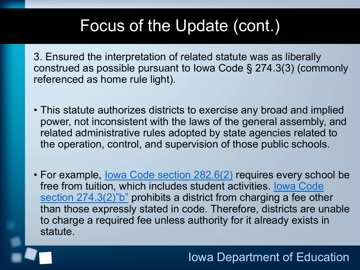### Focus of the Update (cont.)

3. Ensured the interpretation of related statute was as liberally construed as possible pursuant to Iowa Code § 274.3(3) (commonly referenced as home rule light).

- This statute authorizes districts to exercise any broad and implied power, not inconsistent with the laws of the general assembly, and related administrative rules adopted by state agencies related to the operation, control, and supervision of those public schools.
- For example, Iowa Code section 282.6(2) requires every school be free from tuition, which includes student activities. Iowa Code section 274.3(2)"b" prohibits a district from charging a fee other than those expressly stated in code. Therefore, districts are unable to charge a required fee unless authority for it already exists in statute.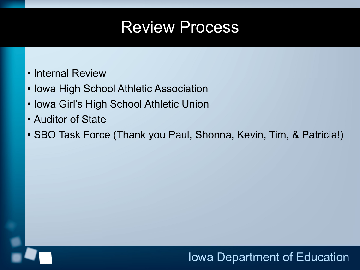### Review Process

- Internal Review
- Iowa High School Athletic Association
- Iowa Girl's High School Athletic Union
- Auditor of State
- SBO Task Force (Thank you Paul, Shonna, Kevin, Tim, & Patricia!)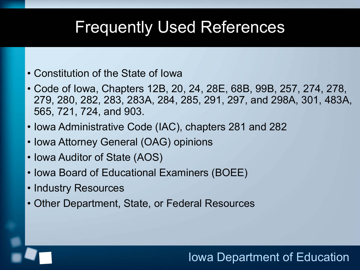### Frequently Used References

- Constitution of the State of Iowa
- Code of Iowa, Chapters 12B, 20, 24, 28E, 68B, 99B, 257, 274, 278, 279, 280, 282, 283, 283A, 284, 285, 291, 297, and 298A, 301, 483A, 565, 721, 724, and 903.
- Iowa Administrative Code (IAC), chapters 281 and 282
- Iowa Attorney General (OAG) opinions
- Iowa Auditor of State (AOS)
- Iowa Board of Educational Examiners (BOEE)
- Industry Resources
- Other Department, State, or Federal Resources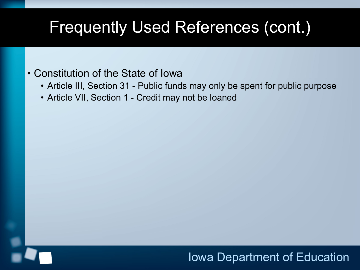#### • Constitution of the State of Iowa

- Article III, Section 31 Public funds may only be spent for public purpose
- Article VII, Section 1 Credit may not be loaned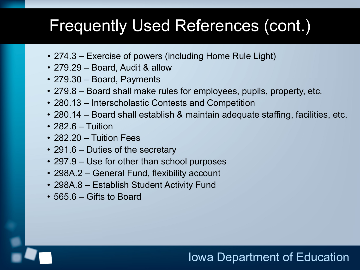- 274.3 Exercise of powers (including Home Rule Light)
- 279.29 Board, Audit & allow
- 279.30 Board, Payments
- 279.8 Board shall make rules for employees, pupils, property, etc.
- 280.13 Interscholastic Contests and Competition
- 280.14 Board shall establish & maintain adequate staffing, facilities, etc.
- 282.6 Tuition
- 282.20 Tuition Fees
- 291.6 Duties of the secretary
- 297.9 Use for other than school purposes
- 298A.2 General Fund, flexibility account
- 298A.8 Establish Student Activity Fund
- 565.6 Gifts to Board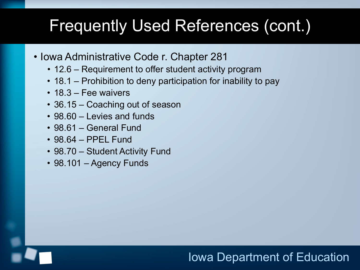- Iowa Administrative Code r. Chapter 281
	- 12.6 Requirement to offer student activity program
	- 18.1 Prohibition to deny participation for inability to pay
	- 18.3 Fee waivers
	- 36.15 Coaching out of season
	- 98.60 Levies and funds
	- 98.61 General Fund
	- 98.64 PPEL Fund
	- 98.70 Student Activity Fund
	- 98.101 Agency Funds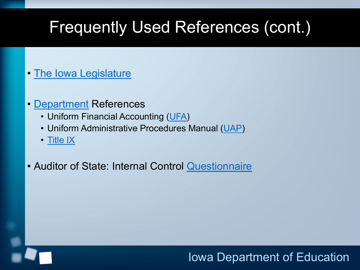- [The Iowa Legislature](https://www.legis.iowa.gov/docs/code/298A.2.pdf)
- [Department](https://educateiowa.gov/pk-12/school-business-and-finance/accounting-and-reporting/uniform-financial-accounting) References
	- Uniform Financial Accounting ([UFA\)](https://educateiowa.gov/pk-12/school-business-and-finance/accounting-and-reporting/uniform-financial-accounting)
	- Uniform Administrative Procedures Manual ([UAP\)](https://educateiowa.gov/pk-12/school-business-and-finance/financial-management/uniform-administrative-procedures-school)
	- [Title IX](https://educateiowa.gov/pk-12/accreditation-and-program-approval/equity-education/title-ix-education-equity)
- Auditor of State: Internal Control [Questionnaire](https://www.auditor.iowa.gov/other-resources/audit-practice-aids)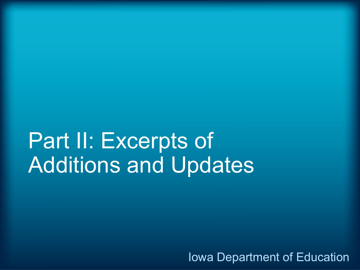# Part II: Excerpts of Additions and Updates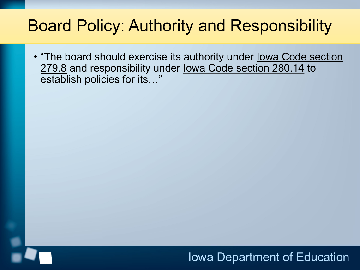## Board Policy: Authority and Responsibility

• "The board should exercise its authority under Iowa Code section 279.8 and responsibility under Iowa Code section 280.14 to establish policies for its…"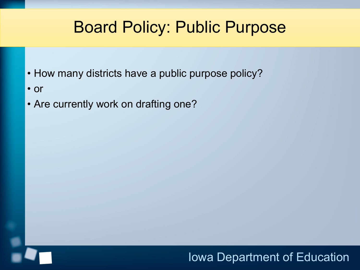### Board Policy: Public Purpose

- How many districts have a public purpose policy?
- or
- Are currently work on drafting one?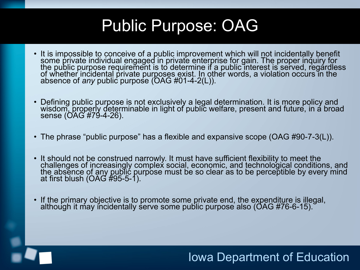## Public Purpose: OAG

- It is impossible to conceive of a public improvement which will not incidentally benefit some private individual engaged in private enterprise for gain. The proper inquiry for the public purpose requirement is to determine if a public interest is served, regardless of whether incidental private purposes exist. In other words, a violation occurs in the absence of *any* public purpose (OAG #01-4-2(L)).
- Defining public purpose is not exclusively a legal determination. It is more policy and wisdom, properly determinable in light of public welfare, present and future, in a broad sense (OAG #79-4-26).
- The phrase "public purpose" has a flexible and expansive scope (OAG #90-7-3(L)).
- It should not be construed narrowly. It must have sufficient flexibility to meet the challenges of increasingly complex social, economic, and technological conditions, and the absence of any public purpose must be so clear as to be perceptible by every mind at first blush (OAG #95-5-1).
- If the primary objective is to promote some private end, the expenditure is illegal, although it may incidentally serve some public purpose also (OAG #76-6-15).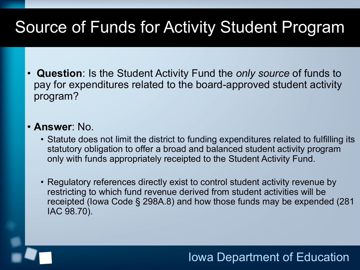# Source of Funds for Activity Student Program

• **Question**: Is the Student Activity Fund the *only source* of funds to pay for expenditures related to the board-approved student activity program?

#### • **Answer**: No.

- Statute does not limit the district to funding expenditures related to fulfilling its statutory obligation to offer a broad and balanced student activity program only with funds appropriately receipted to the Student Activity Fund.
- Regulatory references directly exist to control student activity revenue by restricting to which fund revenue derived from student activities will be receipted (Iowa Code § 298A.8) and how those funds may be expended (281 IAC 98.70).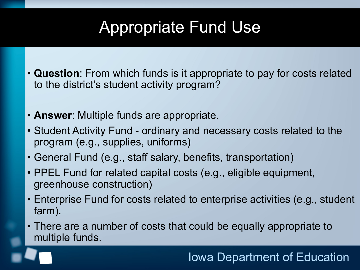# Appropriate Fund Use

- **Question**: From which funds is it appropriate to pay for costs related to the district's student activity program?
- **Answer**: Multiple funds are appropriate.
- Student Activity Fund ordinary and necessary costs related to the program (e.g., supplies, uniforms)
- General Fund (e.g., staff salary, benefits, transportation)
- PPEL Fund for related capital costs (e.g., eligible equipment, greenhouse construction)
- Enterprise Fund for costs related to enterprise activities (e.g., student farm).
- There are a number of costs that could be equally appropriate to multiple funds.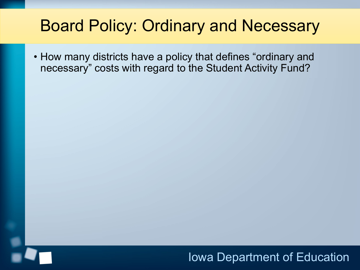### Board Policy: Ordinary and Necessary

• How many districts have a policy that defines "ordinary and necessary" costs with regard to the Student Activity Fund?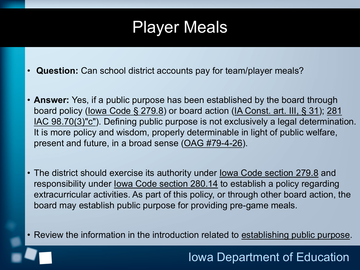### Player Meals

- **Question:** Can school district accounts pay for team/player meals?
- **Answer:** Yes, if a public purpose has been established by the board through board policy (Iowa Code § 279.8) or board action (IA Const. art. III, § 31); 281 IAC 98.70(3)"c"). Defining public purpose is not exclusively a legal determination. It is more policy and wisdom, properly determinable in light of public welfare, present and future, in a broad sense [\(OAG #79-4-26](https://govt.westlaw.com/iaag/Document/Ie69d0201088a11db91d9f7db97e2132f?viewType=FullText&listSource=Search&originationContext=Search+Result&transitionType=SearchItem&contextData=(sc.Search)&navigationPath=Search%2fv1%2fresults%2fnavigation%2fi0ad62d340000016f7ba944c1e6705612%3fNav%3dADMINDECISION_PUBLICVIEW%26fragmentIdentifier%3dIe69d0201088a11db91d9f7db97e2132f%26startIndex%3d1%26transitionType%3dSearchItem%26contextData%3d%2528sc.Default%2529%26originationContext%3dSearch%2520Result&list=ADMINDECISION_PUBLICVIEW&rank=1&t_querytext=79-4-26&t_Method=TNC)).
- The district should exercise its authority under lowa Code section 279.8 and responsibility under Iowa Code section 280.14 to establish a policy regarding extracurricular activities. As part of this policy, or through other board action, the board may establish public purpose for providing pre-game meals.
- Review the information in the introduction related to establishing public purpose.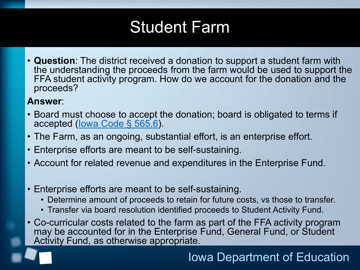# Student Farm

• **Question**: The district received a donation to support a student farm with the understanding the proceeds from the farm would be used to support the FFA student activity program. How do we account for the donation and the proceeds?

#### **Answer**:

- Board must choose to accept the donation; board is obligated to terms if accepted (Iowa Code § 565.6).
- The Farm, as an ongoing, substantial effort, is an enterprise effort.
- Enterprise efforts are meant to be self-sustaining.
- Account for related revenue and expenditures in the Enterprise Fund.
- Enterprise efforts are meant to be self-sustaining.
	- Determine amount of proceeds to retain for future costs, vs those to transfer.
	- Transfer via board resolution identified proceeds to Student Activity Fund.
- Co-curricular costs related to the farm as part of the FFA activity program may be accounted for in the Enterprise Fund, General Fund, or Student Activity Fund, as otherwise appropriate.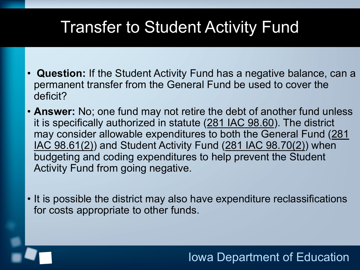### Transfer to Student Activity Fund

- **Question:** If the Student Activity Fund has a negative balance, can a permanent transfer from the General Fund be used to cover the deficit?
- **Answer:** No; one fund may not retire the debt of another fund unless it is specifically authorized in statute (281 IAC 98.60). The district may consider allowable expenditures to both the General Fund (281 IAC 98.61(2)) and Student Activity Fund (281 IAC 98.70(2)) when budgeting and coding expenditures to help prevent the Student Activity Fund from going negative.
- It is possible the district may also have expenditure reclassifications for costs appropriate to other funds.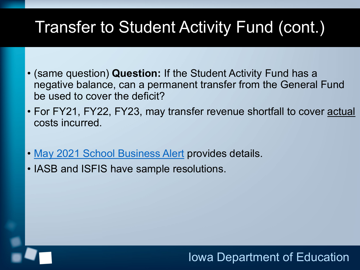# Transfer to Student Activity Fund (cont.)

- (same question) **Question:** If the Student Activity Fund has a negative balance, can a permanent transfer from the General Fund be used to cover the deficit?
- For FY21, FY22, FY23, may transfer revenue shortfall to cover **actual** costs incurred.
- [May 2021 School Business Alert](https://educateiowa.gov/pk-12/school-business-and-finance/financial-management/school-business-alerts) provides details.
- IASB and ISFIS have sample resolutions.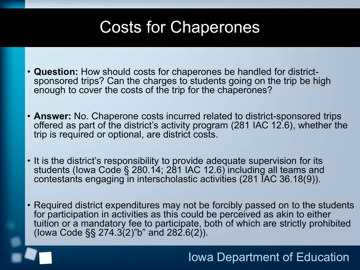# Costs for Chaperones

- **Question:** How should costs for chaperones be handled for district- sponsored trips? Can the charges to students going on the trip be high enough to cover the costs of the trip for the chaperones?
- **Answer:** No. Chaperone costs incurred related to district-sponsored trips offered as part of the district's activity program (281 IAC 12.6), whether the trip is required or optional, are district costs.
- It is the district's responsibility to provide adequate supervision for its students (lowa Code § 280.14; 281 IAC 12.6) including all teams and contestants engaging in interscholastic activities (281 IAC 36.18(9)).
- Required district expenditures may not be forcibly passed on to the students for participation in activities as this could be perceived as akin to either tuition or a mandatory fee to participate, both of which are strictly prohibited (lowa Code §§ 274.3(2)"b" and  $282.6(2)$ ).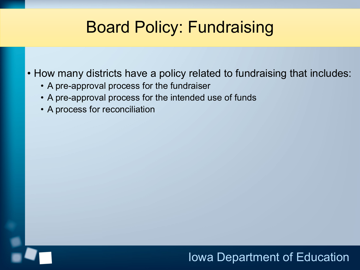### Board Policy: Fundraising

• How many districts have a policy related to fundraising that includes:

- A pre-approval process for the fundraiser
- A pre-approval process for the intended use of funds
- A process for reconciliation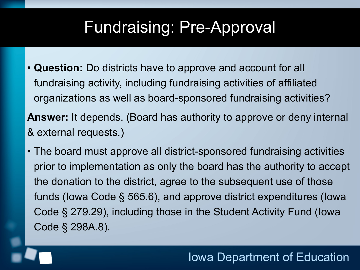### Fundraising: Pre-Approval

- **Question:** Do districts have to approve and account for all fundraising activity, including fundraising activities of affiliated organizations as well as board-sponsored fundraising activities? **Answer:** It depends. (Board has authority to approve or deny internal & external requests.)
- The board must approve all district-sponsored fundraising activities prior to implementation as only the board has the authority to accept the donation to the district, agree to the subsequent use of those funds (Iowa Code § 565.6), and approve district expenditures (Iowa Code § 279.29), including those in the Student Activity Fund (Iowa Code § 298A.8).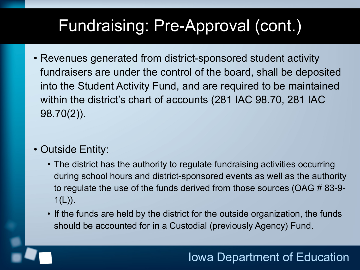# Fundraising: Pre-Approval (cont.)

• Revenues generated from district-sponsored student activity fundraisers are under the control of the board, shall be deposited into the Student Activity Fund, and are required to be maintained within the district's chart of accounts (281 IAC 98.70, 281 IAC 98.70(2)).

#### • Outside Entity:

- The district has the authority to regulate fundraising activities occurring during school hours and district-sponsored events as well as the authority to regulate the use of the funds derived from those sources (OAG # 83-9-  $1(L)$ ).
- If the funds are held by the district for the outside organization, the funds should be accounted for in a Custodial (previously Agency) Fund.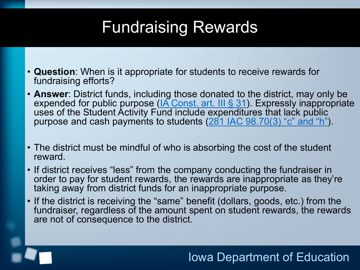## Fundraising Rewards

- **Question**: When is it appropriate for students to receive rewards for fundraising efforts?
- **Answer**: District funds, including those donated to the district, may only be expended for public purpose (IA Const. art. III § 31). Expressly inappropriate uses of the Student Activity Fund include expenditures that lack public purpose and cash payments to students (281 IAC 98.70(3) "c" and "h").
- The district must be mindful of who is absorbing the cost of the student reward.
- If district receives "less" from the company conducting the fundraiser in order to pay for student rewards, the rewards are inappropriate as they're taking away from district funds for an inappropriate purpose.
- If the district is receiving the "same" benefit (dollars, goods, etc.) from the fundraiser, regardless of the amount spent on student rewards, the rewards are not of consequence to the district.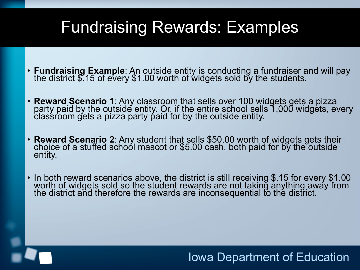### Fundraising Rewards: Examples

- **Fundraising Example**: An outside entity is conducting a fundraiser and will pay the district \$.15 of every \$1.00 worth of widgets sold by the students.
- **Reward Scenario 1**: Any classroom that sells over 100 widgets gets a pizza<br>party paid by the outside entity. Or, if the entire school sells 1,000 widgets, every classroom gets a pizza party paid for by the outside entity.
- **Reward Scenario 2**: Any student that sells \$50.00 worth of widgets gets their choice of a stuffed school mascot or \$5.00 cash, both paid for by the outside entity.
- In both reward scenarios above, the district is still receiving  $$.15$  for every  $$1.00$ worth of widgets sold so the student rewards are not taking anything away from the district and therefore the rewards are inconsequential to the district.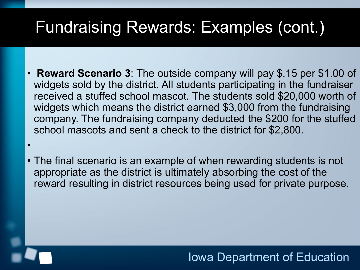### Fundraising Rewards: Examples (cont.)

- **Reward Scenario 3**: The outside company will pay \$.15 per \$1.00 of widgets sold by the district. All students participating in the fundraiser received a stuffed school mascot. The students sold \$20,000 worth of widgets which means the district earned \$3,000 from the fundraising company. The fundraising company deducted the \$200 for the stuffed school mascots and sent a check to the district for \$2,800.
- The final scenario is an example of when rewarding students is not appropriate as the district is ultimately absorbing the cost of the reward resulting in district resources being used for private purpose.

•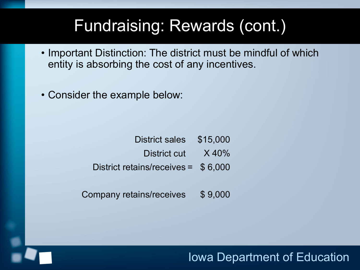### Fundraising: Rewards (cont.)

- Important Distinction: The district must be mindful of which entity is absorbing the cost of any incentives.
- Consider the example below:

| District sales \$15,000             |  |
|-------------------------------------|--|
| District cut X 40%                  |  |
| District retains/receives = \$6,000 |  |

Company retains/receives \$ 9,000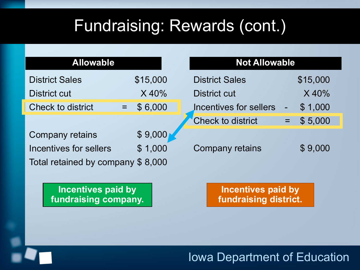## Fundraising: Rewards (cont.)

| <b>Allowable</b> |
|------------------|
|------------------|

| <b>District Sales</b> | \$15,000     |
|-----------------------|--------------|
| District cut          | $X$ 40%      |
| Check to district     | \$6,000<br>÷ |

| Company retains                   | \$9,000 |
|-----------------------------------|---------|
| Incentives for sellers            | \$1,000 |
| Total retained by company \$8,000 |         |

**Incentives paid by fundraising company.**

#### **Not Allowable**

| <b>District Sales</b>  |       | \$15,000 |
|------------------------|-------|----------|
| District cut           |       | $X$ 40%  |
| Incentives for sellers |       | \$1,000  |
| Check to district      | $=$ . | \$5,000  |
|                        |       |          |

Company retains \$ 9,000

**Incentives paid by fundraising district.**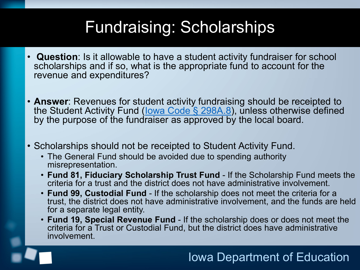## Fundraising: Scholarships

- **Question**: Is it allowable to have a student activity fundraiser for school scholarships and if so, what is the appropriate fund to account for the revenue and expenditures?
- **Answer**: Revenues for student activity fundraising should be receipted to the Student Activity Fund (lowa Code § 298A.8), unless otherwise defined by the purpose of the fundraiser as approved by the local board.
- Scholarships should not be receipted to Student Activity Fund.
	- The General Fund should be avoided due to spending authority misrepresentation.
	- **Fund 81, Fiduciary Scholarship Trust Fund**  If the Scholarship Fund meets the criteria for a trust and the district does not have administrative involvement.
	- **Fund 99, Custodial Fund** If the scholarship does not meet the criteria for a trust, the district does not have administrative involvement, and the funds are held for a separate legal entity.
	- **Fund 19, Special Revenue Fund** If the scholarship does or does not meet the criteria for a Trust or Custodial Fund, but the district does have administrative involvement.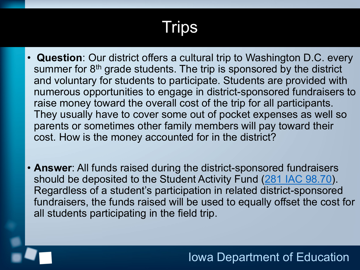# Trips

- **Question**: Our district offers a cultural trip to Washington D.C. every summer for 8<sup>th</sup> grade students. The trip is sponsored by the district and voluntary for students to participate. Students are provided with numerous opportunities to engage in district-sponsored fundraisers to raise money toward the overall cost of the trip for all participants. They usually have to cover some out of pocket expenses as well so parents or sometimes other family members will pay toward their cost. How is the money accounted for in the district?
- **Answer**: All funds raised during the district-sponsored fundraisers should be deposited to the Student Activity Fund (281 IAC 98.70). Regardless of a student's participation in related district-sponsored fundraisers, the funds raised will be used to equally offset the cost for all students participating in the field trip.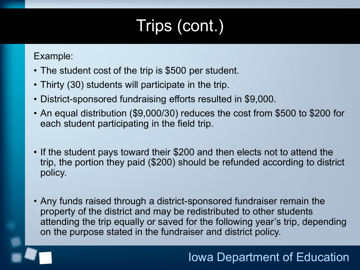# Trips (cont.)

Example:

- The student cost of the trip is \$500 per student.
- Thirty (30) students will participate in the trip.
- District-sponsored fundraising efforts resulted in \$9,000.
- An equal distribution (\$9,000/30) reduces the cost from \$500 to \$200 for each student participating in the field trip.
- If the student pays toward their \$200 and then elects not to attend the trip, the portion they paid (\$200) should be refunded according to district policy.
- Any funds raised through a district-sponsored fundraiser remain the property of the district and may be redistributed to other students attending the trip equally or saved for the following year's trip, depending on the purpose stated in the fundraiser and district policy.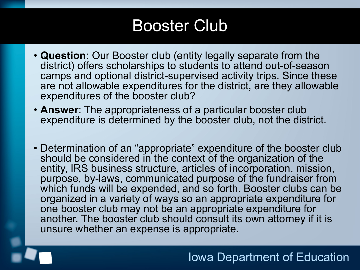### Booster Club

- **Question**: Our Booster club (entity legally separate from the district) offers scholarships to students to attend out-of-season camps and optional district-supervised activity trips. Since these are not allowable expenditures for the district, are they allowable expenditures of the booster club?
- **Answer**: The appropriateness of a particular booster club expenditure is determined by the booster club, not the district.
- Determination of an "appropriate" expenditure of the booster club should be considered in the context of the organization of the entity, IRS business structure, articles of incorporation, mission, purpose, by-laws, communicated purpose of the fundraiser from which funds will be expended, and so forth. Booster clubs can be organized in a variety of ways so an appropriate expenditure for one booster club may not be an appropriate expenditure for another. The booster club should consult its own attorney if it is unsure whether an expense is appropriate.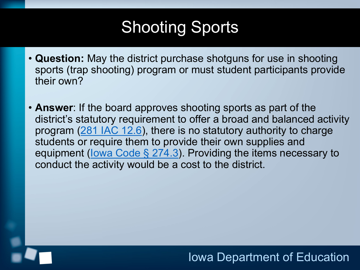# Shooting Sports

- **Question:** May the district purchase shotguns for use in shooting sports (trap shooting) program or must student participants provide their own?
- **Answer**: If the board approves shooting sports as part of the district's statutory requirement to offer a broad and balanced activity program (281 IAC 12.6), there is no statutory authority to charge students or require them to provide their own supplies and equipment (lowa Code § 274.3). Providing the items necessary to conduct the activity would be a cost to the district.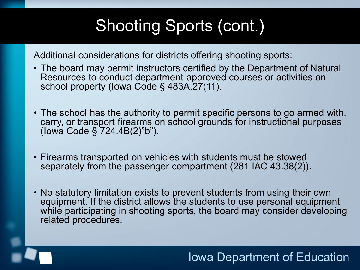# Shooting Sports (cont.)

Additional considerations for districts offering shooting sports:

- The board may permit instructors certified by the Department of Natural Resources to conduct department-approved courses or activities on school property (Iowa Code § 483A.27(11).
- The school has the authority to permit specific persons to go armed with, carry, or transport firearms on school grounds for instructional purposes (Iowa Code § 724.4B(2)"b").
- Firearms transported on vehicles with students must be stowed separately from the passenger compartment (281 IAC 43.38(2)).
- No statutory limitation exists to prevent students from using their own equipment. If the district allows the students to use personal equipment while participating in shooting sports, the board may consider developing related procedures.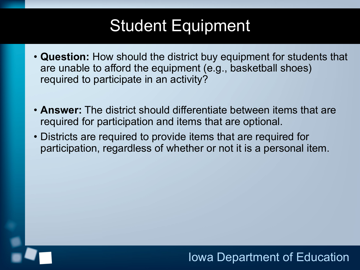# Student Equipment

- **Question:** How should the district buy equipment for students that are unable to afford the equipment (e.g., basketball shoes) required to participate in an activity?
- **Answer:** The district should differentiate between items that are required for participation and items that are optional.
- Districts are required to provide items that are required for participation, regardless of whether or not it is a personal item.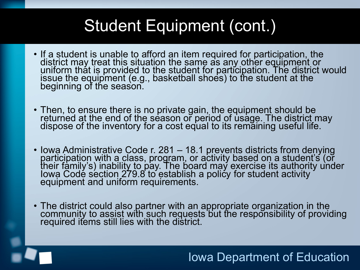# Student Equipment (cont.)

- If a student is unable to afford an item required for participation, the district may treat this situation the same as any other equipment or<br>uniform that is provided to the student for participation. The district would issue the equipment (e.g., basketball shoes) to the student at the beginning of the season.
- Then, to ensure there is no private gain, the equipment should be returned at the end of the season or period of usage. The district may dispose of the inventory for a cost equal to its remaining useful life.
- Iowa Administrative Code r. 281 18.1 prevents districts from denying<br>participation with a class, program, or activity based on a student's (or their family's) inability to pay. The board may exercise its authority under Iowa Code section 279.8 to establish a policy for student activity equipment and uniform requirements.
- The district could also partner with an appropriate organization in the community to assist with such requests but the responsibility of providing required items still lies with the district.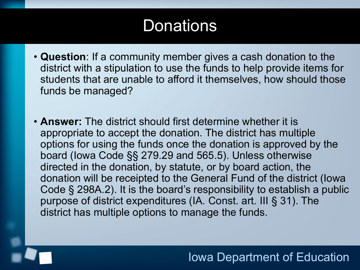### **Donations**

- **Question**: If a community member gives a cash donation to the district with a stipulation to use the funds to help provide items for students that are unable to afford it themselves, how should those funds be managed?
- **Answer:** The district should first determine whether it is appropriate to accept the donation. The district has multiple options for using the funds once the donation is approved by the board (Iowa Code §§ 279.29 and 565.5). Unless otherwise directed in the donation, by statute, or by board action, the donation will be receipted to the General Fund of the district (Iowa Code § 298A.2). It is the board's responsibility to establish a public purpose of district expenditures (IA. Const. art. III § 31). The district has multiple options to manage the funds.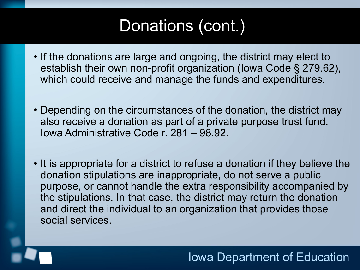# Donations (cont.)

- If the donations are large and ongoing, the district may elect to establish their own non-profit organization (Iowa Code § 279.62), which could receive and manage the funds and expenditures.
- Depending on the circumstances of the donation, the district may also receive a donation as part of a private purpose trust fund. Iowa Administrative Code r. 281 – 98.92.
- It is appropriate for a district to refuse a donation if they believe the donation stipulations are inappropriate, do not serve a public purpose, or cannot handle the extra responsibility accompanied by the stipulations. In that case, the district may return the donation and direct the individual to an organization that provides those social services.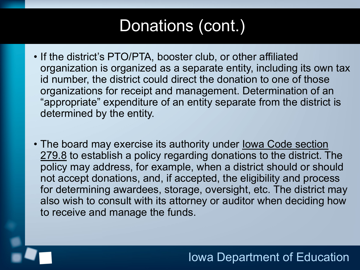# Donations (cont.)

- If the district's PTO/PTA, booster club, or other affiliated organization is organized as a separate entity, including its own tax id number, the district could direct the donation to one of those organizations for receipt and management. Determination of an "appropriate" expenditure of an entity separate from the district is determined by the entity.
- The board may exercise its authority under Iowa Code section 279.8 to establish a policy regarding donations to the district. The policy may address, for example, when a district should or should not accept donations, and, if accepted, the eligibility and process for determining awardees, storage, oversight, etc. The district may also wish to consult with its attorney or auditor when deciding how to receive and manage the funds.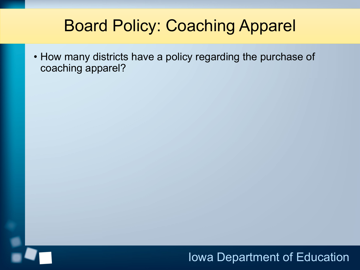## Board Policy: Coaching Apparel

• How many districts have a policy regarding the purchase of coaching apparel?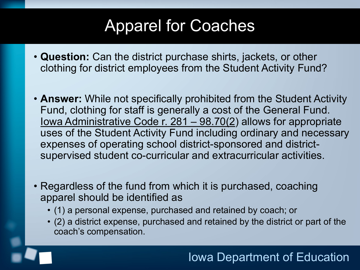# Apparel for Coaches

- **Question:** Can the district purchase shirts, jackets, or other clothing for district employees from the Student Activity Fund?
- **Answer:** While not specifically prohibited from the Student Activity Fund, clothing for staff is generally a cost of the General Fund. Iowa Administrative Code r. 281 – 98.70(2) allows for appropriate uses of the Student Activity Fund including ordinary and necessary expenses of operating school district-sponsored and districtsupervised student co-curricular and extracurricular activities.
- Regardless of the fund from which it is purchased, coaching apparel should be identified as
	- (1) a personal expense, purchased and retained by coach; or
	- (2) a district expense, purchased and retained by the district or part of the coach's compensation.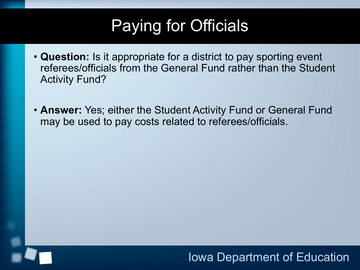# Paying for Officials

- **Question:** Is it appropriate for a district to pay sporting event referees/officials from the General Fund rather than the Student Activity Fund?
- **Answer:** Yes; either the Student Activity Fund or General Fund may be used to pay costs related to referees/officials.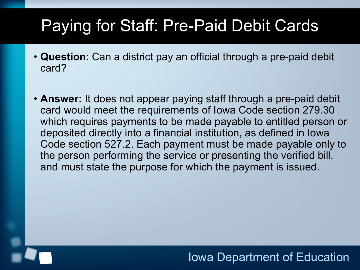# Paying for Staff: Pre-Paid Debit Cards

- **Question**: Can a district pay an official through a pre-paid debit card?
- **Answer:** It does not appear paying staff through a pre-paid debit card would meet the requirements of Iowa Code section 279.30 which requires payments to be made payable to entitled person or deposited directly into a financial institution, as defined in Iowa Code section 527.2. Each payment must be made payable only to the person performing the service or presenting the verified bill, and must state the purpose for which the payment is issued.